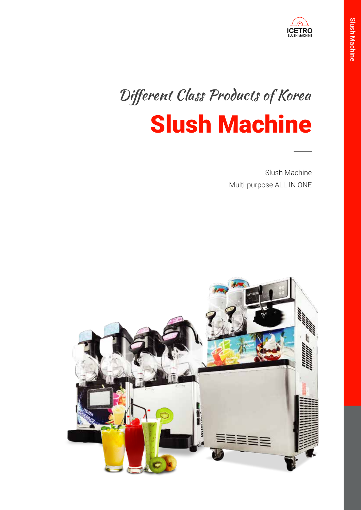

# Slush Machine Different Class Products of Korea

Slush Machine Multi-purpose ALL IN ONE

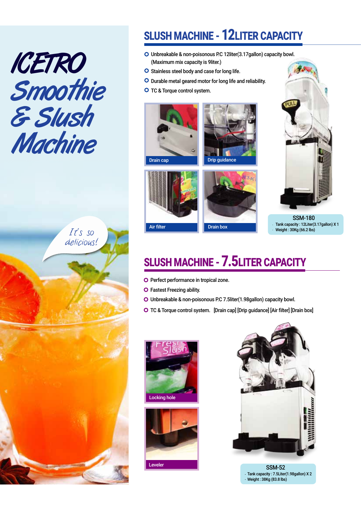



## SLUSH MACHINE - 12LITER CAPACITY

- Unbreakable & non-poisonous P.C 12liter(3.17gallon) capacity bowl. (Maximum mix capacity is 9liter.)
- O Stainless steel body and case for long life.
- O Durable metal geared motor for long life and reliability.
- O TC & Torque control system.









SSM-180 Tank capacity : 12Liter(3.17gallon) X 1 Weight : 30Kg (66.2 lbs)

### SLUSH MACHINE - 7.5LITER CAPACITY

- **O** Perfect performance in tropical zone.
- **O** Fastest Freezing ability.
- Unbreakable & non-poisonous P.C 7.5liter(1.98gallon) capacity bowl.
- TC & Torque control system. [Drain cap] [Drip guidance] [Air filter] [Drain box]







Leveler SSM-52 Tank capacity : 7.5Liter(1.98gallon) X 2 Weight : 38Kg (83.8 lbs)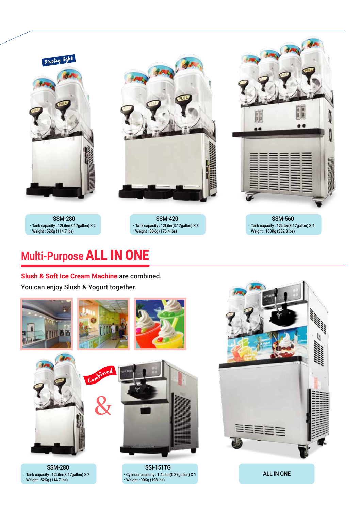

# **Multi-Purpose** ALL IN ONE

**Slush & Soft Ice Cream Machine** are combined.

You can enjoy Slush & Yogurt together.









SSM-280 Tank capacity : 12Liter(3.17gallon) X 2 Weight : 52Kg (114.7 lbs)

SSI-151TG Cylinder capacity : 1.4Liter(0.37gallon) X 1 Weight : 90Kg (198 lbs)



ALL IN ONE